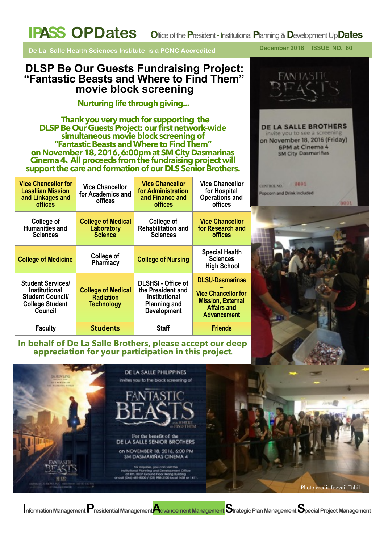**De La Salle Health Sciences Institute is a PCNC Accredited** 

### **DLSP Be Our Guests Fundraising Project: "Fantastic Beasts and Where to Find Them" movie block screening**

### **Nurturing life through giving...**

 **Thank you very much for supporting the DLSP Be Our Guests Project: our first network-wide simultaneous movie block screening of "Fantastic Beasts and Where to Find Them" on November 18, 2016, 6:00pm at SM City Dasmarinas Cinema 4. All proceeds from the fundraising project will support the care and formation of our DLS Senior Brothers.** 

| <b>Vice Chancellor for</b><br><b>Lasallian Mission</b><br>and Linkages and<br><b>offices</b>                     | <b>Vice Chancellor</b><br>for Academics and<br>offices             | <b>Vice Chancellor</b><br>for Administration<br>and Finance and<br><b>offices</b>                                   | <b>Vice Chancellor</b><br>for Hospital<br><b>Operations and</b><br>offices                                                   |
|------------------------------------------------------------------------------------------------------------------|--------------------------------------------------------------------|---------------------------------------------------------------------------------------------------------------------|------------------------------------------------------------------------------------------------------------------------------|
| College of<br><b>Humanities and</b><br><b>Sciences</b>                                                           | <b>College of Medical</b><br>Laboratory<br><b>Science</b>          | College of<br><b>Rehabilitation and</b><br><b>Sciences</b>                                                          | <b>Vice Chancellor</b><br>for Research and<br>offices                                                                        |
| <b>College of Medicine</b>                                                                                       | College of<br>Pharmacy                                             | <b>College of Nursing</b>                                                                                           | <b>Special Health</b><br><b>Sciences</b><br><b>High School</b>                                                               |
| <b>Student Services/</b><br><b>Institutional</b><br><b>Student Council/</b><br><b>College Student</b><br>Council | <b>College of Medical</b><br><b>Radiation</b><br><b>Technology</b> | <b>DLSHSI - Office of</b><br>the President and<br><b>Institutional</b><br><b>Planning and</b><br><b>Development</b> | <b>DLSU-Dasmarinas</b><br><b>Vice Chancellor for</b><br><b>Mission, External</b><br><b>Affairs and</b><br><b>Advancement</b> |
| <b>Faculty</b>                                                                                                   | <b>Students</b>                                                    | <b>Staff</b>                                                                                                        | <b>Friends</b>                                                                                                               |

# **In behalf of De La Salle Brothers, please accept our deep appreciation for your participation in this project.**

DE LA SALLE PHILIPPINES **BK ROWLING** invites you to the block screening of For the benefit of the DE LA SALLE SENIOR BROTHERS on NOVEMBER 18, 2016, 6:00 PM **SM DASMARIÑAS CINEMA 4** ifes, you can visit the<br>ning and Development Office<br>Iround Root Wong Building<br>1/ (03) 986-3100 local 1458 or 1411. Photo credit Joevail Tabil

**I**nformation Management **P**residential Management*Adva*ncement Management Strategic Plan Management Special Project Management

**December 2016 ISSUE NO. 60**

**DE LA SALLE BROTHERS** invite you to see a screening on November 18, 2016 (Friday) 6PM at Cinema 4 **SM City Dasmariñas** 

 $10001$ 

0001

Popcorn and Drink included

**CONTROL NO.**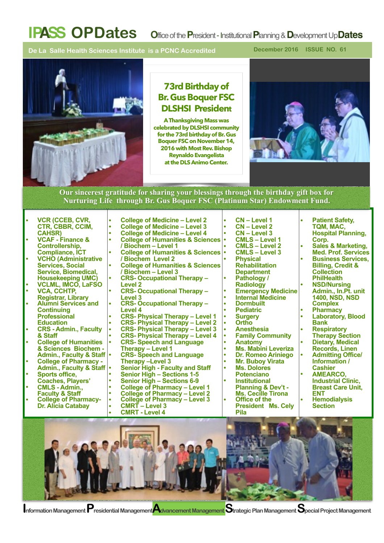**De La Salle Health Sciences Institute is a PCNC Accredited** 

**December 2016 ISSUE NO. 61**



### **73rd Birthday of Br. Gus Boquer FSC DLSHSI President**

**A Thanksgiving Mass was celebrated by DLSHSI community for the 73rd birthday of Br. Gus Boquer FSC on November 14, 2016 with Most Rev. Bishop Reynaldo Evangelista at the DLS Animo Center.** 



#### **Our sincerest gratitude for sharing your blessings through the birthday gift box for Nurturing Life through Br. Gus Boquer FSC (Platinum Star) Endowment Fund.**

**• VCR (CCEB, CVR, CTR, CBBR, CCIM, CAHSR) • VCAF - Finance &** 

- **Controllership, Compliance, ICT • VCHO (Administrative**
- **Services, Social Service, Biomedical,**
- **Housekeeping UMC) • VCLML, IMCO, LaFSO • VCA, CCHTP,**
- **Registrar, Library • Alumni Services and Continuing**
- **Professional Education**
- **• CRS Admin., Faculty & Staff • College of Humanities**
- **& Sciences Biochem**
- **College of Pharmacy -Admin., Faculty & Staff • Sports office,**
- 
- **Coaches, Players' • CMLS Admin.,**
- **College of Pharmacy-**
- **Dr. Alicia Catabay**
- **• College of Medicine Level 3 • College of Medicine – Level 4 • College of Humanities & Sciences / Biochem – Level 1 • College of Humanities & Sciences / Biochem Level 2 • College of Humanities & Sciences / Biochem – Level 3 • CRS- Occupational Therapy – Level 2 • CRS- Occupational Therapy – Level 3 • CRS- Occupational Therapy – Level 4 • CRS- Physical Therapy – Level 1 • CRS- Physical Therapy – Level 2 • CRS- Physical Therapy – Level 3 • CRS- Physical Therapy – Level 4 • CRS- Speech and Language Therapy – Level 1 • CRS- Speech and Language**  Senior High - Faculty and Staff<br>Senior High – Sections 1-5<br>Senior High – Sections 6-9<br>College of Pharmacy – Level 1<br>College of Pharmacy – Level 2<br>College of Pharmacy – Level 3

**• College of Medicine – Level 2**

- - **• CMRT Level 3**
	- **• CMRT Level 4**
- **• CN Level 1 • CN – Level 2 • CN – Level 3 • CMLS – Level 1 • CMLS – Level 2 • CMLS – Level 3 • Physical Rehabilitation Pathology /**<br>Radiology **Radiology • Emergency Medicine • Internal Medicine • Dormbuilt • Pediatric • Surgery • Ortho • Anesthesia • Family Community • Anatomy • Ms. Mabini Leveriza • Dr. Romeo Ariniego • Mr. Buboy Virata • Ms. Dolores Institutional**
- **Planning & Dev't - Ms. Cecille Tirona • Office of the President Ms. Cely**

**Pila** 

- **• Patient Safety, TQM, MAC, Hospital Planning,**
- **Corp. • Sales & Marketing,**
- **Med. Prof. Services • Business Services, Billing, Credit &**
- **Collection**
- **NSD/Nursing**
- **Admin., In.Pt. unit 1400, NSD, NSD Complex**
- **• Pharmacy**
- **• Laboratory, Blood Bank**
- **• Respiratory Therapy Section**
- **• Dietary, Medical Records, Linen • Admitting Office/**
- **Information / Cashier • AMEARCO,**
- **Industrial Clinic, Breast Care Unit, ENT • Hemodialysis**
- **Section**

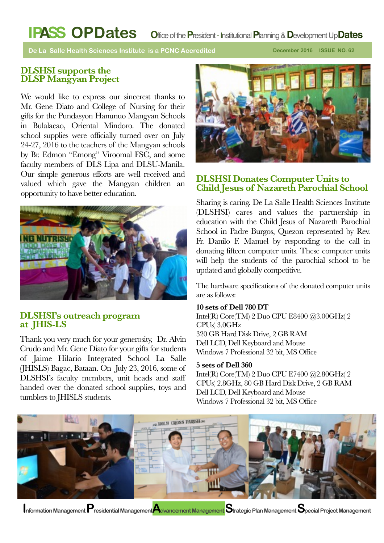**De La Salle Health Sciences Institute is a PCNC Accredited** 

**December 2016 ISSUE NO. 62**

#### **DLSHSI supports the DLSP Mangyan Project**

We would like to express our sincerest thanks to Mr. Gene Diato and College of Nursing for their gifts for the Pundasyon Hanunuo Mangyan Schools in Bulalacao, Oriental Mindoro. The donated school supplies were officially turned over on July 24-27, 2016 to the teachers of the Mangyan schools by Br. Edmon "Emong" Viroomal FSC, and some faculty members of DLS Lipa and DLSU-Manila. Our simple generous efforts are well received and valued which gave the Mangyan children an opportunity to have better education.



#### **DLSHSI's outreach program at JHIS-LS**

Thank you very much for your generosity, Dr. Alvin Crudo and Mr. Gene Diato for your gifts for students of Jaime Hilario Integrated School La Salle (JHISLS) Bagac, Bataan. On July 23, 2016, some of DLSHSI's faculty members, unit heads and staff handed over the donated school supplies, toys and tumblers to JHISLS students.



### **DLSHSI Donates Computer Units to Child Jesus of Nazareth Parochial School**

Sharing is caring. De La Salle Health Sciences Institute (DLSHSI) cares and values the partnership in education with the Child Jesus of Nazareth Parochial School in Padre Burgos, Quezon represented by Rev. Fr. Danilo F. Manuel by responding to the call in donating fifteen computer units. These computer units will help the students of the parochial school to be updated and globally competitive.

The hardware specifications of the donated computer units are as follows:

#### **10 sets of Dell 780 DT**

Intel(R) Core(TM) 2 Duo CPU E8400 @3.00GHz( 2 CPUs) 3.0GHz 320 GB Hard Disk Drive, 2 GB RAM Dell LCD, Dell Keyboard and Mouse Windows 7 Professional 32 bit, MS Office

#### **5 sets of Dell 360**

Intel(R) Core(TM) 2 Duo CPU E7400 @2.80GHz( 2 CPUs) 2.8GHz, 80 GB Hard Disk Drive, 2 GB RAM Dell LCD, Dell Keyboard and Mouse Windows 7 Professional 32 bit, MS Office

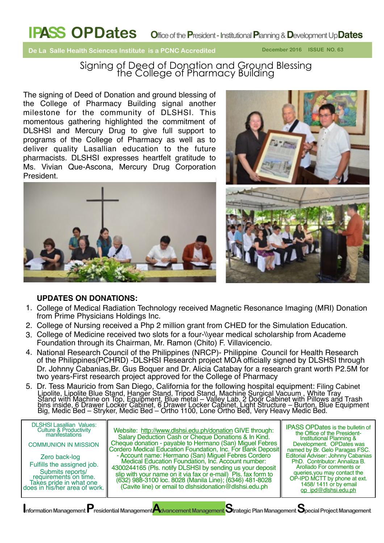**De La Salle Health Sciences Institute is a PCNC Accredited** 

Signing of Deed of Donation and Ground Blessing the College of Pharmacy Building

The signing of Deed of Donation and ground blessing of the College of Pharmacy Building signal another milestone for the community of DLSHSI. This momentous gathering highlighted the commitment of DLSHSI and Mercury Drug to give full support to programs of the College of Pharmacy as well as to deliver quality Lasallian education to the future pharmacists. DLSHSI expresses heartfelt gratitude to Ms. Vivian Que-Ascona, Mercury Drug Corporation President.







#### **UPDATES ON DONATIONS:**

- 1. College of Medical Radiation Technology received Magnetic Resonance Imaging (MRI) Donation from Prime Physicians Holdings Inc.
- 2. College of Nursing received a Php 2 million grant from CHED for the Simulation Education.
- 3. College of Medicine received two slots for a four-\\year medical scholarship from Academe Foundation through its Chairman, Mr. Ramon (Chito) F. Villavicencio.
- 4. National Research Council of the Philippines (NRCP)- Philippine Council for Health Research of the Philippines(PCHRD) -DLSHSI Research project MOA officially signed by DLSHSI through Dr. Johnny Cabanias,Br. Gus Boquer and Dr. Alicia Catabay for a research grant worth P2.5M for two years-First research project approved for the College of Pharmacy
- 5. Dr. Tess Mauricio from San Diego, California for the following hospital equipment: Filing Cabinet Lipolite, Lipolite Blue Stand, Hanger Stand, Tripod Stand, Machine Surgical Vacuum , White Tray Stand with Machine on Top, Equipment, Blue metal – Valley Lab, 2 Door Cabinet with Pillows and Trash bins inside, 6 Drawer Locker Cabinet, 6 Drawer Locker Cabinet, Light Structure – Burton, Blue Equipment Big, Medic Bed – Stryker, Medic Bed – Ortho 1100, Lone Ortho Bed, Very Heavy Medic Bed.

| <b>DLSHSI Lasallian Values:</b><br><b>Culture &amp; Productivity<br/>manifestations</b><br><b>COMMUNION IN MISSION</b><br>Zero back-log<br>Fulfills the assigned job.<br>Submits reports/<br>requirements on time.<br>Takes pride in what one<br>does in his/her area of work. | Website: http://www.dlshsi.edu.ph/donation GIVE through:<br>Salary Deduction Cash or Cheque Donations & In Kind.<br>Cheque donation - payable to Hermano (San) Miguel Febres<br>Cordero Medical Education Foundation, Inc. For Bank Deposit<br>- Account name: Hermano (San) Miguel Febres Cordero<br>Medical Education Foundation, Inc. Account number:<br>4300244165 (Pls. notify DLSHSI by sending us your deposit<br>slip with your name on it via fax or e-mail) Pls. fax form to<br>(632) 988-3100 loc. 8028 (Manila Line); (6346) 481-8028<br>(Cavite line) or email to dishsidonation@dlshsi.edu.ph | <b>IPASS OPDates is the bulletin of</b><br>the Office of the President-<br>Institutional Planning &<br>Development. OPDates was<br>named by Br. Gelo Paragas FSC.<br>Editorial Adviser: Johnny Cabanias<br>PhD. Contributor: Annaliza B.<br>Arollado For comments or<br>queries, you may contact the<br>OP-IPD MCTT by phone at ext.<br>1458/1411 or by email<br>op_ipd@dlshsi.edu.ph |  |  |
|--------------------------------------------------------------------------------------------------------------------------------------------------------------------------------------------------------------------------------------------------------------------------------|-------------------------------------------------------------------------------------------------------------------------------------------------------------------------------------------------------------------------------------------------------------------------------------------------------------------------------------------------------------------------------------------------------------------------------------------------------------------------------------------------------------------------------------------------------------------------------------------------------------|---------------------------------------------------------------------------------------------------------------------------------------------------------------------------------------------------------------------------------------------------------------------------------------------------------------------------------------------------------------------------------------|--|--|
| Information Management Presidential Management Advancement Management Strategic Plan Management Special Project Management                                                                                                                                                     |                                                                                                                                                                                                                                                                                                                                                                                                                                                                                                                                                                                                             |                                                                                                                                                                                                                                                                                                                                                                                       |  |  |